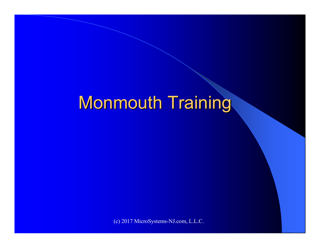# Monmouth Training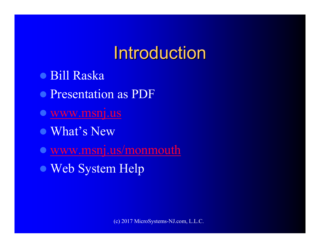# Introduction

- Bill Raska
- Presentation as PDF
- www.msnj.us
- What's New
- www.msnj.us/monmouth
- Web System Help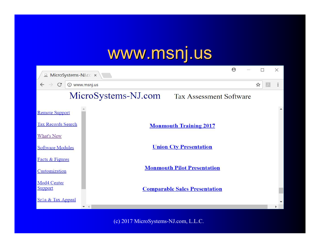## www.msnj.us

| $\Theta$<br>MicroSystems-NJ.co x                      |                                      |   | $\times$ |
|-------------------------------------------------------|--------------------------------------|---|----------|
| $\rightarrow$<br>10 www.msnj.us<br>C                  |                                      | ☆ |          |
| MicroSystems-NJ.com<br><b>Tax Assessment Software</b> |                                      |   |          |
| <b>Remote Support</b>                                 |                                      |   |          |
| <b>Tax Records Search</b>                             | <b>Monmouth Training 2017</b>        |   |          |
| What's New                                            |                                      |   |          |
| <b>Software Modules</b>                               | <b>Union Cty Presentation</b>        |   |          |
| Facts & Figures                                       |                                      |   |          |
| Customization                                         | <b>Monmouth Pilot Presentation</b>   |   |          |
| Mod4 Center<br>Support                                | <b>Comparable Sales Presentation</b> |   |          |
| Srla & Tax Appeal                                     |                                      |   |          |
|                                                       |                                      |   |          |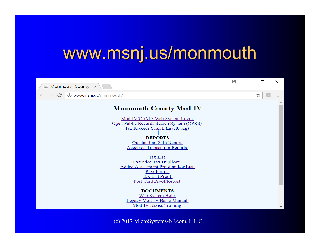#### www.msnj.us/monmouth

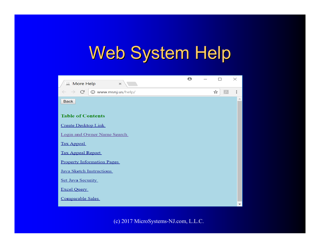# Web System Help

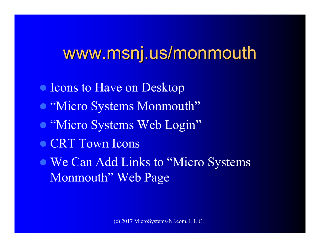#### www.msnj.us/monmouth

 Icons to Have on Desktop "Micro Systems Monmouth"  $\bullet$  "Micro Systems Web Login" • CRT Town Icons We Can Add Links to "Micro Systems Monmouth" Web Page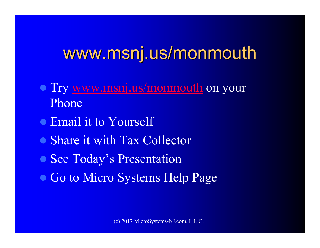#### www.msnj.us/monmouth

- Try www.msnj.us/monmouth on your Phone
- Email it to Yourself
- Share it with Tax Collector
- See Today's Presentation
- Go to Micro Systems Help Page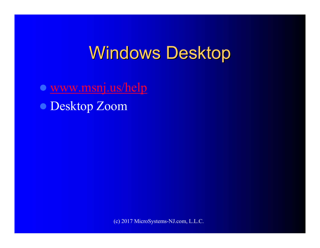## Windows Desktop

 www.msnj.us/help Desktop Zoom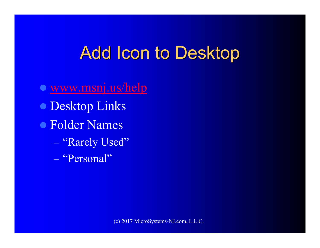## Add Icon to Desktop

 www.msnj.us/help Desktop Links Folder Names  $\mathcal{L}_{\mathcal{A}}$ – "Rarely Used"  $\mathcal{L}_{\mathcal{A}}$ – "Personal"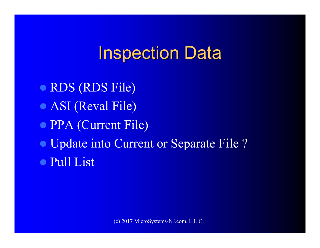## **Inspection Data**

 RDS (RDS File) ASI (Reval File) PPA (Current File) Update into Current or Separate File ? Pull List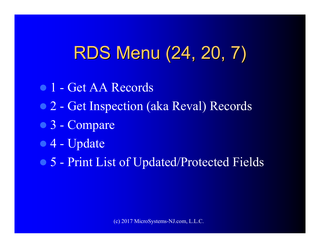# RDS Menu (24, 20, 7)

- 01 Get AA Records
- 2 Get Inspection (aka Reval) Records
- 3 Compare
- 4 Update
- 5 Print List of Updated/Protected Fields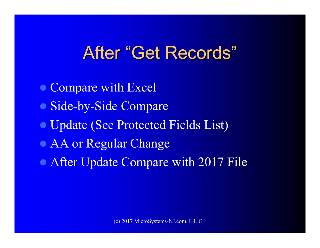#### After "Get Records"

• Compare with Excel Side-by-Side Compare Update (See Protected Fields List) AA or Regular Change After Update Compare with 2017 File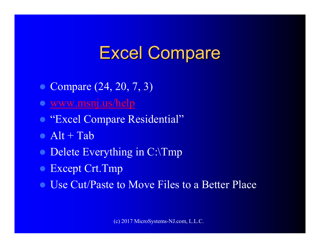# Excel Compare

- Compare (24, 20, 7, 3)
- www.msnj.us/help
- "Excel Compare Residential"
- Alt + Tab
- Delete Everything in C:\Tmp
- Except Crt.Tmp
- Use Cut/Paste to Move Files to a Better Place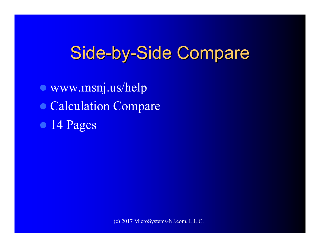## Side-by-Side Compare

 www.msnj.us/help Calculation Compare • 14 Pages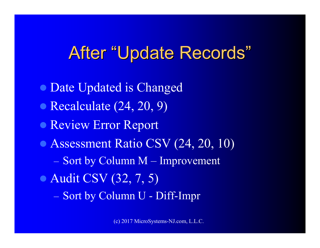#### After "Update Records"

 Date Updated is Changed • Recalculate (24, 20, 9) Review Error Report Assessment Ratio CSV (24, 20, 10)  $\mathcal{L}_{\mathcal{A}}$ – Sort by Column M – Improvement • Audit CSV (32, 7, 5)  $\mathcal{L}_{\mathcal{A}}$ – Sort by Column U - Diff-Impr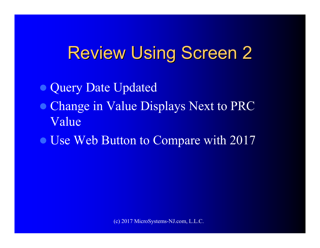## Review Using Screen 2

Query Date Updated

- Change in Value Displays Next to PRC Value
- Use Web Button to Compare with 2017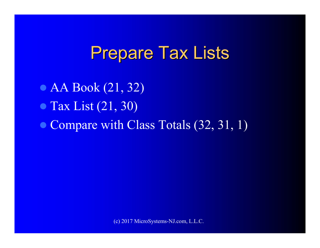#### Prepare Tax Lists

• AA Book (21, 32) • Tax List (21, 30) • Compare with Class Totals (32, 31, 1)